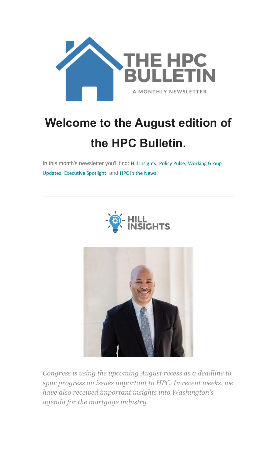

# **Welcome to the August edition of the HPC Bulletin.**

In this month's newsletter you'll find: [Hill Insights](#page-0-0), [Policy Pulse](#page-2-0), Working Group [Updates](#page-4-0), [Executive](#page-7-0) Spotlight, and [HPC in the News](#page-8-0).





<span id="page-0-0"></span>*Congress is using the upcoming August recess as a deadline to spur progress on issues important to HPC. In recent weeks, we have also received important insights into Washington's agenda for the mortgage industry.*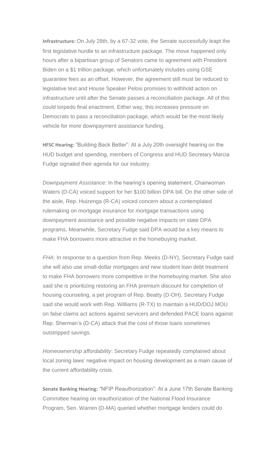**Infrastructure:** On July 28th, by a 67-32 vote, the Senate successfully leapt the first legislative hurdle to an infrastructure package. The move happened only hours after a bipartisan group of Senators came to agreement with President Biden on a \$1 trillion package, which unfortunately includes using GSE guarantee fees as an offset. However, the agreement still must be reduced to legislative text and House Speaker Pelosi promises to withhold action on infrastructure until after the Senate passes a reconciliation package. All of this could torpedo final enactment. Either way, this increases pressure on Democrats to pass a reconciliation package, which would be the most likely vehicle for more downpayment assistance funding.

**HFSC Hearing:** "Building Back Better": At a July 20th oversight hearing on the HUD budget and spending, members of Congress and HUD Secretary Marcia Fudge signaled their agenda for our industry.

*Downpayment Assistance*: In the hearing's opening statement, Chairwoman Waters (D-CA) voiced support for her \$100 billion DPA bill. On the other side of the aisle, Rep. Huizenga (R-CA) voiced concern about a contemplated rulemaking on mortgage insurance for mortgage transactions using downpayment assistance and possible negative impacts on state DPA programs. Meanwhile, Secretary Fudge said DPA would be a key means to make FHA borrowers more attractive in the homebuying market.

*FHA*: In response to a question from Rep. Meeks (D-NY), Secretary Fudge said she will also use small-dollar mortgages and new student loan debt treatment to make FHA borrowers more competitive in the homebuying market. She also said she is prioritizing restoring an FHA premium discount for completion of housing counseling, a pet program of Rep. Beatty (D-OH). Secretary Fudge said she would work with Rep. Williams (R-TX) to maintain a HUD/DOJ MOU on false claims act actions against servicers and defended PACE loans against Rep. Sherman's (D-CA) attack that the cost of those loans sometimes outstripped savings.

*Homeownership affordability*: Secretary Fudge repeatedly complained about local zoning laws' negative impact on housing development as a main cause of the current affordability crisis.

**Senate Banking Hearing:** "NFIP Reauthorization": At a June 17th Senate Banking Committee hearing on reauthorization of the National Flood Insurance Program, Sen. Warren (D-MA) queried whether mortgage lenders could do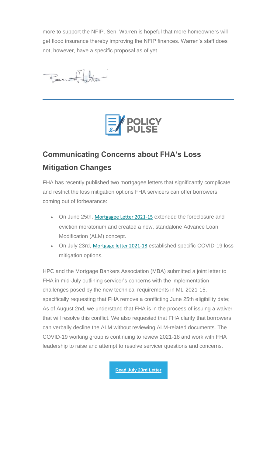more to support the NFIP. Sen. Warren is hopeful that more homeowners will get flood insurance thereby improving the NFIP finances. Warren's staff does not, however, have a specific proposal as of yet.

Removed to the



# <span id="page-2-0"></span>**Communicating Concerns about FHA's Loss Mitigation Changes**

FHA has recently published two mortgagee letters that significantly complicate and restrict the loss mitigation options FHA servicers can offer borrowers coming out of forbearance:

- On June 25th, [Mortgagee Letter 2021-15](https://nam12.safelinks.protection.outlook.com/?url=https%3A%2F%2Fhousingpolicycouncil.us4.list-manage.com%2Ftrack%2Fclick%3Fu%3D5140623077e4523696cc45400%26id%3Daddf4854a4%26e%3D59545c9cdd&data=04%7C01%7Canna.herndon%40edelman.com%7Cd83a76f41c4d4868ab4f08d95671fe9c%7Cb824bfb3918e43c2bb1cdcc1ba40a82b%7C0%7C0%7C637635872645514805%7CUnknown%7CTWFpbGZsb3d8eyJWIjoiMC4wLjAwMDAiLCJQIjoiV2luMzIiLCJBTiI6Ik1haWwiLCJXVCI6Mn0%3D%7C1000&sdata=NsSs%2FM3oVRMiVQjiG%2BaD9JU6PTC9a%2F13o1iCfT994Sg%3D&reserved=0) extended the foreclosure and eviction moratorium and created a new, standalone Advance Loan Modification (ALM) concept.
- On July 23rd, [Mortgage letter 2021-18](https://nam12.safelinks.protection.outlook.com/?url=https%3A%2F%2Fhousingpolicycouncil.us4.list-manage.com%2Ftrack%2Fclick%3Fu%3D5140623077e4523696cc45400%26id%3D3492ea3331%26e%3D59545c9cdd&data=04%7C01%7Canna.herndon%40edelman.com%7Cd83a76f41c4d4868ab4f08d95671fe9c%7Cb824bfb3918e43c2bb1cdcc1ba40a82b%7C0%7C0%7C637635872645524802%7CUnknown%7CTWFpbGZsb3d8eyJWIjoiMC4wLjAwMDAiLCJQIjoiV2luMzIiLCJBTiI6Ik1haWwiLCJXVCI6Mn0%3D%7C1000&sdata=ZpPNVvk263mBOSPSvs2qR%2FtQsxofWyT24Igf3V5NxVY%3D&reserved=0) established specific COVID-19 loss mitigation options.

HPC and the Mortgage Bankers Association (MBA) submitted a joint letter to FHA in mid-July outlining servicer's concerns with the implementation challenges posed by the new technical requirements in ML-2021-15, specifically requesting that FHA remove a conflicting June 25th eligibility date; As of August 2nd, we understand that FHA is in the process of issuing a waiver that will resolve this conflict. We also requested that FHA clarify that borrowers can verbally decline the ALM without reviewing ALM-related documents. The COVID-19 working group is continuing to review 2021-18 and work with FHA leadership to raise and attempt to resolve servicer questions and concerns.

**[Read July 23rd Letter](https://nam12.safelinks.protection.outlook.com/?url=https%3A%2F%2Fhousingpolicycouncil.us4.list-manage.com%2Ftrack%2Fclick%3Fu%3D5140623077e4523696cc45400%26id%3Dfcb6aa26ad%26e%3D59545c9cdd&data=04%7C01%7Canna.herndon%40edelman.com%7Cd83a76f41c4d4868ab4f08d95671fe9c%7Cb824bfb3918e43c2bb1cdcc1ba40a82b%7C0%7C0%7C637635872645524802%7CUnknown%7CTWFpbGZsb3d8eyJWIjoiMC4wLjAwMDAiLCJQIjoiV2luMzIiLCJBTiI6Ik1haWwiLCJXVCI6Mn0%3D%7C1000&sdata=1xHRWle0rQg7tbkCV%2Fsb%2FOqDY2jsqFVczV4hy2U0xko%3D&reserved=0)**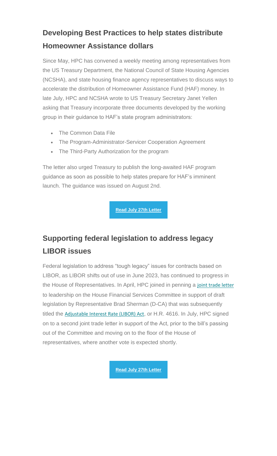### **Developing Best Practices to help states distribute Homeowner Assistance dollars**

Since May, HPC has convened a weekly meeting among representatives from the US Treasury Department, the National Council of State Housing Agencies (NCSHA), and state housing finance agency representatives to discuss ways to accelerate the distribution of Homeowner Assistance Fund (HAF) money. In late July, HPC and NCSHA wrote to US Treasury Secretary Janet Yellen asking that Treasury incorporate three documents developed by the working group in their guidance to HAF's state program administrators:

- The Common Data File
- The Program-Administrator-Servicer Cooperation Agreement
- The Third-Party Authorization for the program

The letter also urged Treasury to publish the long-awaited HAF program guidance as soon as possible to help states prepare for HAF's imminent launch. The guidance was issued on August 2nd.

**[Read July 27th Letter](https://nam12.safelinks.protection.outlook.com/?url=https%3A%2F%2Fhousingpolicycouncil.us4.list-manage.com%2Ftrack%2Fclick%3Fu%3D5140623077e4523696cc45400%26id%3D11cb51c901%26e%3D59545c9cdd&data=04%7C01%7Canna.herndon%40edelman.com%7Cd83a76f41c4d4868ab4f08d95671fe9c%7Cb824bfb3918e43c2bb1cdcc1ba40a82b%7C0%7C0%7C637635872645534791%7CUnknown%7CTWFpbGZsb3d8eyJWIjoiMC4wLjAwMDAiLCJQIjoiV2luMzIiLCJBTiI6Ik1haWwiLCJXVCI6Mn0%3D%7C1000&sdata=1GJDj5exCDbHiDMMLI5yryC2vT8Urtx6eg%2F5ScqE0X8%3D&reserved=0)**

# **Supporting federal legislation to address legacy LIBOR issues**

Federal legislation to address "tough legacy" issues for contracts based on LIBOR, as LIBOR shifts out of use in June 2023, has continued to progress in the House of Representatives. In April, HPC joined in penning a [joint trade letter](https://nam12.safelinks.protection.outlook.com/?url=https%3A%2F%2Fhousingpolicycouncil.us4.list-manage.com%2Ftrack%2Fclick%3Fu%3D5140623077e4523696cc45400%26id%3D530eb53aa1%26e%3D59545c9cdd&data=04%7C01%7Canna.herndon%40edelman.com%7Cd83a76f41c4d4868ab4f08d95671fe9c%7Cb824bfb3918e43c2bb1cdcc1ba40a82b%7C0%7C0%7C637635872645544788%7CUnknown%7CTWFpbGZsb3d8eyJWIjoiMC4wLjAwMDAiLCJQIjoiV2luMzIiLCJBTiI6Ik1haWwiLCJXVCI6Mn0%3D%7C1000&sdata=0IFrGWsmq4MXpyskBBu5xOtJbkf%2FHr345J%2FEj7Yi1DU%3D&reserved=0) to leadership on the House Financial Services Committee in support of draft legislation by Representative Brad Sherman (D-CA) that was subsequently titled the [Adjustable Interest Rate \(LIBOR\) Act](https://nam12.safelinks.protection.outlook.com/?url=https%3A%2F%2Fhousingpolicycouncil.us4.list-manage.com%2Ftrack%2Fclick%3Fu%3D5140623077e4523696cc45400%26id%3D323bc9007b%26e%3D59545c9cdd&data=04%7C01%7Canna.herndon%40edelman.com%7Cd83a76f41c4d4868ab4f08d95671fe9c%7Cb824bfb3918e43c2bb1cdcc1ba40a82b%7C0%7C0%7C637635872645544788%7CUnknown%7CTWFpbGZsb3d8eyJWIjoiMC4wLjAwMDAiLCJQIjoiV2luMzIiLCJBTiI6Ik1haWwiLCJXVCI6Mn0%3D%7C1000&sdata=1MBd5x5L6Z%2FIhf14MPjSmnZgZL4X8Mtsm652vyO8lds%3D&reserved=0), or H.R. 4616. In July, HPC signed on to a second joint trade letter in support of the Act, prior to the bill's passing out of the Committee and moving on to the floor of the House of representatives, where another vote is expected shortly.

**[Read July 27th Letter](https://nam12.safelinks.protection.outlook.com/?url=https%3A%2F%2Fhousingpolicycouncil.us4.list-manage.com%2Ftrack%2Fclick%3Fu%3D5140623077e4523696cc45400%26id%3D65378f7a34%26e%3D59545c9cdd&data=04%7C01%7Canna.herndon%40edelman.com%7Cd83a76f41c4d4868ab4f08d95671fe9c%7Cb824bfb3918e43c2bb1cdcc1ba40a82b%7C0%7C0%7C637635872645554785%7CUnknown%7CTWFpbGZsb3d8eyJWIjoiMC4wLjAwMDAiLCJQIjoiV2luMzIiLCJBTiI6Ik1haWwiLCJXVCI6Mn0%3D%7C1000&sdata=1JfDedB5ZYmPUGU%2B6dVyUJDboFvEwNiRwZk8iE47CWk%3D&reserved=0)**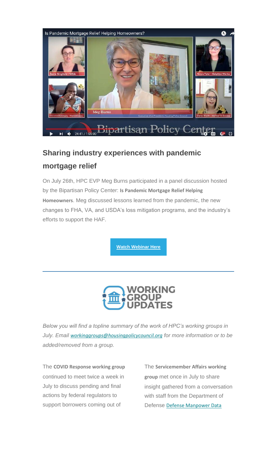

### **Sharing industry experiences with pandemic mortgage relief**

On July 26th, HPC EVP Meg Burns participated in a panel discussion hosted by the Bipartisan Policy Center: **Is Pandemic Mortgage Relief Helping Homeowners**. Meg discussed lessons learned from the pandemic, the new changes to FHA, VA, and USDA's loss mitigation programs, and the industry's efforts to support the HAF.

**[Watch Webinar Here](https://nam12.safelinks.protection.outlook.com/?url=https%3A%2F%2Fhousingpolicycouncil.us4.list-manage.com%2Ftrack%2Fclick%3Fu%3D5140623077e4523696cc45400%26id%3D9d6ab34b57%26e%3D59545c9cdd&data=04%7C01%7Canna.herndon%40edelman.com%7Cd83a76f41c4d4868ab4f08d95671fe9c%7Cb824bfb3918e43c2bb1cdcc1ba40a82b%7C0%7C0%7C637635872645554785%7CUnknown%7CTWFpbGZsb3d8eyJWIjoiMC4wLjAwMDAiLCJQIjoiV2luMzIiLCJBTiI6Ik1haWwiLCJXVCI6Mn0%3D%7C1000&sdata=WHlKHMoJScWxlnuAapuQXmZ2iVAM%2BhJnoiK85scrMik%3D&reserved=0)**



<span id="page-4-0"></span>*Below you will find a topline summary of the work of HPC's working groups in July. Email [workinggroups@housingpolicycouncil.org](mailto:workinggroups@housingpolicycouncil.org) for more information or to be added/removed from a group.*

The **COVID Response working group**  continued to meet twice a week in July to discuss pending and final actions by federal regulators to support borrowers coming out of

The **Servicemember Affairs working group** met once in July to share insight gathered from a conversation with staff from the Department of Defense [Defense Manpower Data](https://nam12.safelinks.protection.outlook.com/?url=https%3A%2F%2Fhousingpolicycouncil.us4.list-manage.com%2Ftrack%2Fclick%3Fu%3D5140623077e4523696cc45400%26id%3D1f97854e58%26e%3D59545c9cdd&data=04%7C01%7Canna.herndon%40edelman.com%7Cd83a76f41c4d4868ab4f08d95671fe9c%7Cb824bfb3918e43c2bb1cdcc1ba40a82b%7C0%7C0%7C637635872645564778%7CUnknown%7CTWFpbGZsb3d8eyJWIjoiMC4wLjAwMDAiLCJQIjoiV2luMzIiLCJBTiI6Ik1haWwiLCJXVCI6Mn0%3D%7C1000&sdata=whVio%2BZnS%2FzxSY4A1U3hokG4jJHYDaIbHeywDeRIK9Q%3D&reserved=0)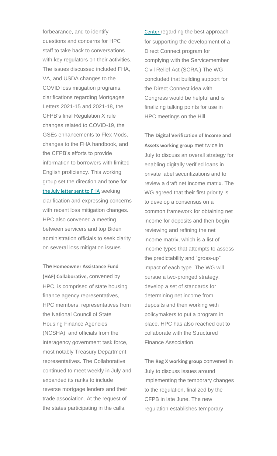forbearance, and to identify questions and concerns for HPC staff to take back to conversations with key regulators on their activities. The issues discussed included FHA, VA, and USDA changes to the COVID loss mitigation programs, clarifications regarding Mortgagee Letters 2021-15 and 2021-18, the CFPB's final Regulation X rule changes related to COVID-19, the GSEs enhancements to Flex Mods, changes to the FHA handbook, and the CFPB's efforts to provide information to borrowers with limited English proficiency. This working group set the direction and tone for [the July letter sent to FHA](https://nam12.safelinks.protection.outlook.com/?url=https%3A%2F%2Fhousingpolicycouncil.us4.list-manage.com%2Ftrack%2Fclick%3Fu%3D5140623077e4523696cc45400%26id%3D3d269c4d48%26e%3D59545c9cdd&data=04%7C01%7Canna.herndon%40edelman.com%7Cd83a76f41c4d4868ab4f08d95671fe9c%7Cb824bfb3918e43c2bb1cdcc1ba40a82b%7C0%7C0%7C637635872645564778%7CUnknown%7CTWFpbGZsb3d8eyJWIjoiMC4wLjAwMDAiLCJQIjoiV2luMzIiLCJBTiI6Ik1haWwiLCJXVCI6Mn0%3D%7C1000&sdata=c7wSV2Pn5Z1sSAlxXTg%2FZojRuFa%2BxcnT6bsWcULidwY%3D&reserved=0) seeking clarification and expressing concerns with recent loss mitigation changes. HPC also convened a meeting between servicers and top Biden administration officials to seek clarity on several loss mitigation issues.

The **Homeowner Assistance Fund (HAF) Collaborative,** convened by HPC, is comprised of state housing finance agency representatives, HPC members, representatives from the National Council of State Housing Finance Agencies (NCSHA), and officials from the interagency government task force, most notably Treasury Department representatives. The Collaborative continued to meet weekly in July and expanded its ranks to include reverse mortgage lenders and their trade association. At the request of the states participating in the calls,

[Center](https://nam12.safelinks.protection.outlook.com/?url=https%3A%2F%2Fhousingpolicycouncil.us4.list-manage.com%2Ftrack%2Fclick%3Fu%3D5140623077e4523696cc45400%26id%3D1f97854e58%26e%3D59545c9cdd&data=04%7C01%7Canna.herndon%40edelman.com%7Cd83a76f41c4d4868ab4f08d95671fe9c%7Cb824bfb3918e43c2bb1cdcc1ba40a82b%7C0%7C0%7C637635872645564778%7CUnknown%7CTWFpbGZsb3d8eyJWIjoiMC4wLjAwMDAiLCJQIjoiV2luMzIiLCJBTiI6Ik1haWwiLCJXVCI6Mn0%3D%7C1000&sdata=whVio%2BZnS%2FzxSY4A1U3hokG4jJHYDaIbHeywDeRIK9Q%3D&reserved=0) regarding the best approach for supporting the development of a Direct Connect program for complying with the Servicemember Civil Relief Act (SCRA.) The WG concluded that building support for the Direct Connect idea with Congress would be helpful and is finalizing talking points for use in HPC meetings on the Hill.

The **Digital Verification of Income and Assets working group** met twice in July to discuss an overall strategy for enabling digitally verified loans in private label securitizations and to review a draft net income matrix. The WG agreed that their first priority is to develop a consensus on a common framework for obtaining net income for deposits and then begin reviewing and refining the net income matrix, which is a list of income types that attempts to assess the predictability and "gross-up" impact of each type. The WG will pursue a two-pronged strategy: develop a set of standards for determining net income from deposits and then working with policymakers to put a program in place. HPC has also reached out to collaborate with the Structured Finance Association.

The **Reg X working group** convened in July to discuss issues around implementing the temporary changes to the regulation, finalized by the CFPB in late June. The new regulation establishes temporary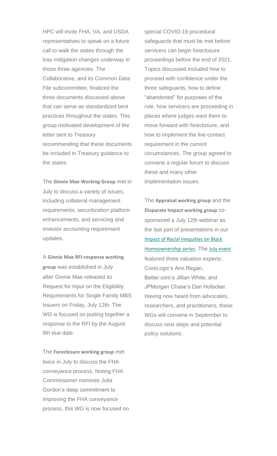HPC will invite FHA, VA, and USDA representatives to speak on a future call to walk the states through the loss mitigation changes underway in those three agencies. The Collaborative, and its Common Data File subcommittee, finalized the three documents discussed above that can serve as standardized best practices throughout the states. This group motivated development of the letter sent to Treasury recommending that these documents be included in Treasury guidance to the states.

The **Ginnie Mae Working Group** met in July to discuss a variety of issues, including collateral management requirements, securitization platform enhancements, and servicing and investor accounting requirement updates.

A **Ginnie Mae RFI-response working group** was established in July after Ginnie Mae released its Request for Input on the Eligibility Requirements for Single Family MBS Issuers on Friday, July 12th. The WG is focused on putting together a response to the RFI by the August 9th due date.

The **Foreclosure working group** met twice in July to discuss the FHA conveyance process. Noting FHA Commissioner nominee Julia Gordon's deep commitment to improving the FHA conveyance process, this WG is now focused on

special COVID-19 procedural safeguards that must be met before servicers can begin foreclosure proceedings before the end of 2021. Topics discussed included how to proceed with confidence under the three safeguards, how to define "abandoned" for purposes of the rule, how servicers are proceeding in places where judges want them to move forward with foreclosure, and how to implement the live contact requirement in the current circumstances. The group agreed to convene a regular forum to discuss these and many other implementation issues.

The **Appraisal working group** and the **Disparate Impact working group** cosponsored a July 12th webinar as the last part of presentations in our [Impact of Racial Inequities on Black](https://nam12.safelinks.protection.outlook.com/?url=https%3A%2F%2Fhousingpolicycouncil.us4.list-manage.com%2Ftrack%2Fclick%3Fu%3D5140623077e4523696cc45400%26id%3D854bb85e4b%26e%3D59545c9cdd&data=04%7C01%7Canna.herndon%40edelman.com%7Cd83a76f41c4d4868ab4f08d95671fe9c%7Cb824bfb3918e43c2bb1cdcc1ba40a82b%7C0%7C0%7C637635872645574773%7CUnknown%7CTWFpbGZsb3d8eyJWIjoiMC4wLjAwMDAiLCJQIjoiV2luMzIiLCJBTiI6Ik1haWwiLCJXVCI6Mn0%3D%7C1000&sdata=Sfv8Iui8SoyUGd7IptRwABcs9uryJD%2BmyS8Boq176YI%3D&reserved=0)  [Homeownership series](https://nam12.safelinks.protection.outlook.com/?url=https%3A%2F%2Fhousingpolicycouncil.us4.list-manage.com%2Ftrack%2Fclick%3Fu%3D5140623077e4523696cc45400%26id%3D854bb85e4b%26e%3D59545c9cdd&data=04%7C01%7Canna.herndon%40edelman.com%7Cd83a76f41c4d4868ab4f08d95671fe9c%7Cb824bfb3918e43c2bb1cdcc1ba40a82b%7C0%7C0%7C637635872645574773%7CUnknown%7CTWFpbGZsb3d8eyJWIjoiMC4wLjAwMDAiLCJQIjoiV2luMzIiLCJBTiI6Ik1haWwiLCJXVCI6Mn0%3D%7C1000&sdata=Sfv8Iui8SoyUGd7IptRwABcs9uryJD%2BmyS8Boq176YI%3D&reserved=0). The [July event](https://nam12.safelinks.protection.outlook.com/?url=https%3A%2F%2Fhousingpolicycouncil.us4.list-manage.com%2Ftrack%2Fclick%3Fu%3D5140623077e4523696cc45400%26id%3D3f7ce83938%26e%3D59545c9cdd&data=04%7C01%7Canna.herndon%40edelman.com%7Cd83a76f41c4d4868ab4f08d95671fe9c%7Cb824bfb3918e43c2bb1cdcc1ba40a82b%7C0%7C0%7C637635872645574773%7CUnknown%7CTWFpbGZsb3d8eyJWIjoiMC4wLjAwMDAiLCJQIjoiV2luMzIiLCJBTiI6Ik1haWwiLCJXVCI6Mn0%3D%7C1000&sdata=MoV%2FjE9ZMEo%2FPrhRJAzMfgo6ja9MPMjaFtfF%2BSKQVcE%3D&reserved=0) featured three valuation experts: CoreLogic's Ann Regan, Better.com's Jillian White, and JPMorgan Chase's Dan Hofacker. Having now heard from advocates, researchers, and practitioners, these WGs will convene in September to discuss next steps and potential policy solutions.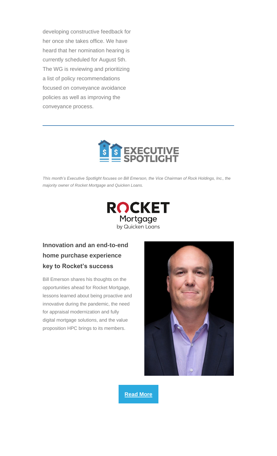developing constructive feedback for her once she takes office. We have heard that her nomination hearing is currently scheduled for August 5th. The WG is reviewing and prioritizing a list of policy recommendations focused on conveyance avoidance policies as well as improving the conveyance process.



<span id="page-7-0"></span>*This month's Executive Spotlight focuses on Bill Emerson, the Vice Chairman of Rock Holdings, Inc., the majority owner of Rocket Mortgage and Quicken Loans.*



#### **Innovation and an end-to-end home purchase experience key to Rocket's success**

Bill Emerson shares his thoughts on the opportunities ahead for Rocket Mortgage, lessons learned about being proactive and innovative during the pandemic, the need for appraisal modernization and fully digital mortgage solutions, and the value proposition HPC brings to its members.



**[Read More](https://nam12.safelinks.protection.outlook.com/?url=https%3A%2F%2Fhousingpolicycouncil.us4.list-manage.com%2Ftrack%2Fclick%3Fu%3D5140623077e4523696cc45400%26id%3D544851cf48%26e%3D59545c9cdd&data=04%7C01%7Canna.herndon%40edelman.com%7Cd83a76f41c4d4868ab4f08d95671fe9c%7Cb824bfb3918e43c2bb1cdcc1ba40a82b%7C0%7C0%7C637635872645584767%7CUnknown%7CTWFpbGZsb3d8eyJWIjoiMC4wLjAwMDAiLCJQIjoiV2luMzIiLCJBTiI6Ik1haWwiLCJXVCI6Mn0%3D%7C1000&sdata=xFIPd8G%2FHkAiBYp52W06%2F9M%2BtslOvbZbEmGfBZ83bGs%3D&reserved=0)**